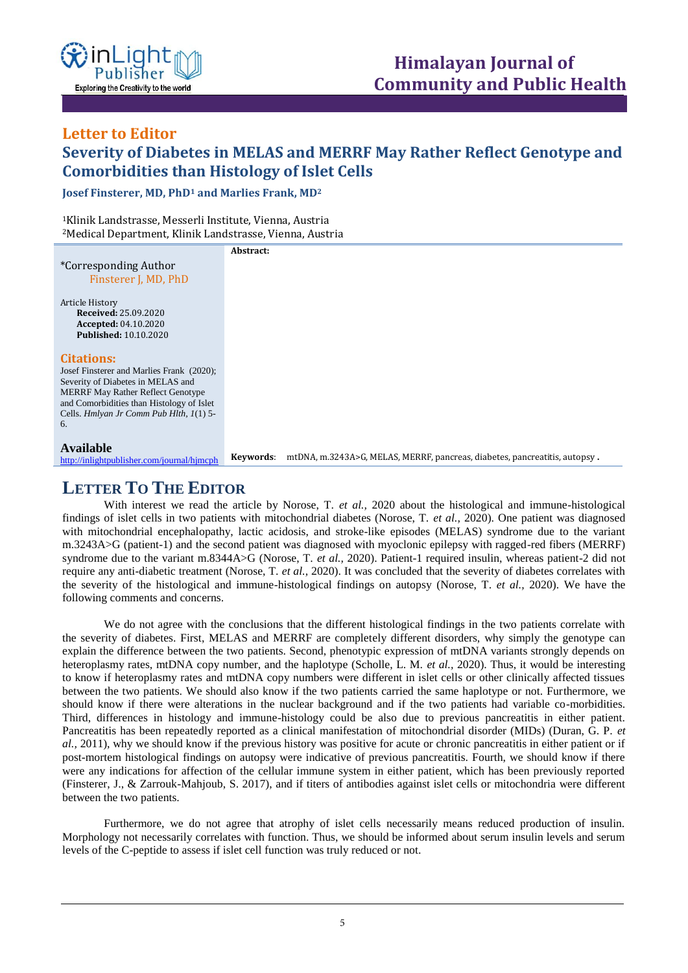

## **Letter to Editor Severity of Diabetes in MELAS and MERRF May Rather Reflect Genotype and Comorbidities than Histology of Islet Cells ISSN: XXXX-XXXX Open Access**

**Josef Finsterer, MD, PhD<sup>1</sup> and Marlies Frank, MD<sup>2</sup>**

<sup>1</sup>Klinik Landstrasse, Messerli Institute, Vienna, Austria <sup>2</sup>Medical Department, Klinik Landstrasse, Vienna, Austria

\*Corresponding Author Finsterer J, MD, PhD Article History **Received:** 25.09.2020 **Accepted:** 04.10.2020 **Published:** 10.10.2020 **Citations:** Josef Finsterer and Marlies Frank (2020); Severity of Diabetes in MELAS and MERRF May Rather Reflect Genotype and Comorbidities than Histology of Islet Cells. *Hmlyan Jr Comm Pub Hlth, 1*(1) 5- 6. **Available** <http://inlightpublisher.com/journal/hjmcph> **Abstract: Keywords**: mtDNA, m.3243A>G, MELAS, MERRF, pancreas, diabetes, pancreatitis, autopsy **.**

## **LETTER TO THE EDITOR**

With interest we read the article by Norose, T. *et al.,* 2020 about the histological and immune-histological findings of islet cells in two patients with mitochondrial diabetes (Norose, T. *et al.,* 2020). One patient was diagnosed with mitochondrial encephalopathy, lactic acidosis, and stroke-like episodes (MELAS) syndrome due to the variant m.3243A>G (patient-1) and the second patient was diagnosed with myoclonic epilepsy with ragged-red fibers (MERRF) syndrome due to the variant m.8344A>G (Norose, T. *et al.,* 2020). Patient-1 required insulin, whereas patient-2 did not require any anti-diabetic treatment (Norose, T. *et al.,* 2020). It was concluded that the severity of diabetes correlates with the severity of the histological and immune-histological findings on autopsy (Norose, T. *et al.,* 2020). We have the following comments and concerns.

We do not agree with the conclusions that the different histological findings in the two patients correlate with the severity of diabetes. First, MELAS and MERRF are completely different disorders, why simply the genotype can explain the difference between the two patients. Second, phenotypic expression of mtDNA variants strongly depends on heteroplasmy rates, mtDNA copy number, and the haplotype (Scholle, L. M. *et al.,* 2020). Thus, it would be interesting to know if heteroplasmy rates and mtDNA copy numbers were different in islet cells or other clinically affected tissues between the two patients. We should also know if the two patients carried the same haplotype or not. Furthermore, we should know if there were alterations in the nuclear background and if the two patients had variable co-morbidities. Third, differences in histology and immune-histology could be also due to previous pancreatitis in either patient. Pancreatitis has been repeatedly reported as a clinical manifestation of mitochondrial disorder (MIDs) (Duran, G. P. *et al.,* 2011), why we should know if the previous history was positive for acute or chronic pancreatitis in either patient or if post-mortem histological findings on autopsy were indicative of previous pancreatitis. Fourth, we should know if there were any indications for affection of the cellular immune system in either patient, which has been previously reported (Finsterer, J., & Zarrouk-Mahjoub, S. 2017), and if titers of antibodies against islet cells or mitochondria were different between the two patients.

Furthermore, we do not agree that atrophy of islet cells necessarily means reduced production of insulin. Morphology not necessarily correlates with function. Thus, we should be informed about serum insulin levels and serum levels of the C-peptide to assess if islet cell function was truly reduced or not.